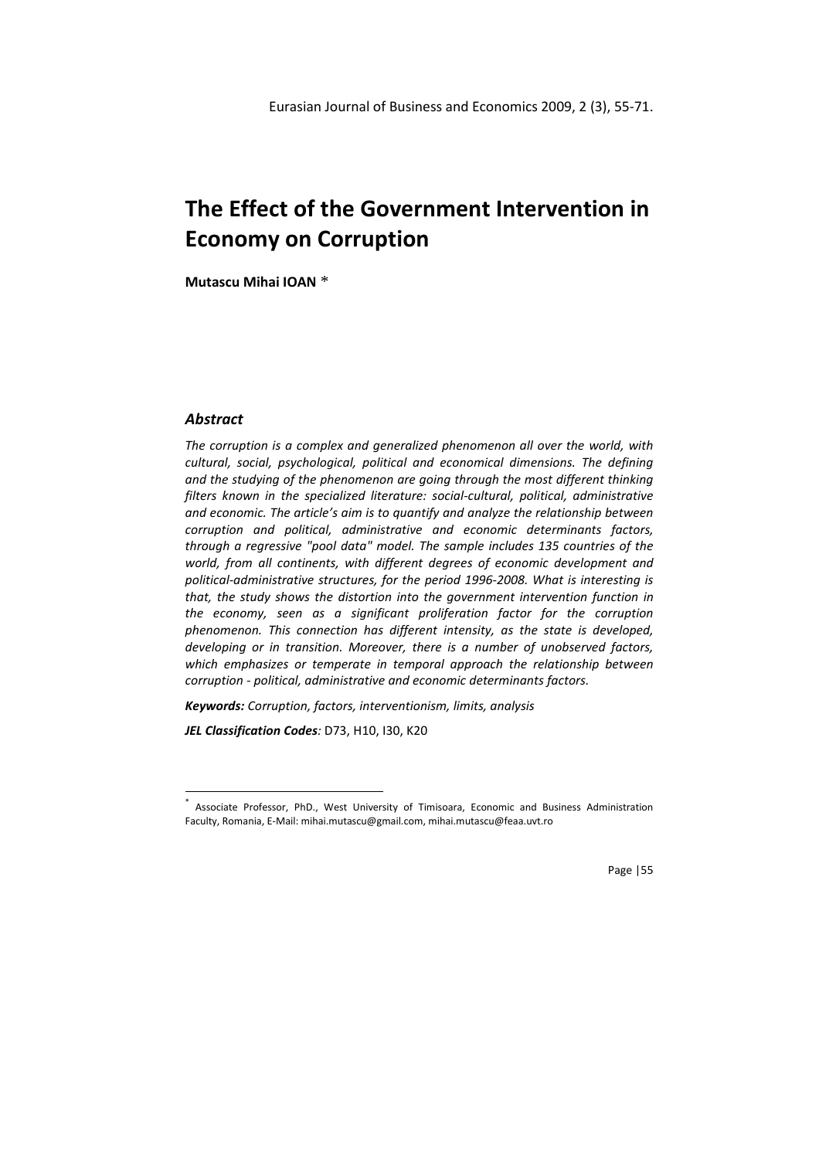# The Effect of the Government Intervention in Economy on Corruption

Mutascu Mihai IOAN \*

#### Abstract

l

The corruption is a complex and generalized phenomenon all over the world, with cultural, social, psychological, political and economical dimensions. The defining and the studying of the phenomenon are going through the most different thinking filters known in the specialized literature: social-cultural, political, administrative and economic. The article's aim is to quantify and analyze the relationship between corruption and political, administrative and economic determinants factors, through a regressive "pool data" model. The sample includes 135 countries of the world, from all continents, with different degrees of economic development and political-administrative structures, for the period 1996-2008. What is interesting is that, the study shows the distortion into the government intervention function in the economy, seen as a significant proliferation factor for the corruption phenomenon. This connection has different intensity, as the state is developed, developing or in transition. Moreover, there is a number of unobserved factors, which emphasizes or temperate in temporal approach the relationship between corruption - political, administrative and economic determinants factors.

Keywords: Corruption, factors, interventionism, limits, analysis

JEL Classification Codes: D73, H10, I30, K20

Page |55

<sup>\*</sup> Associate Professor, PhD., West University of Timisoara, Economic and Business Administration Faculty, Romania, E-Mail: mihai.mutascu@gmail.com, mihai.mutascu@feaa.uvt.ro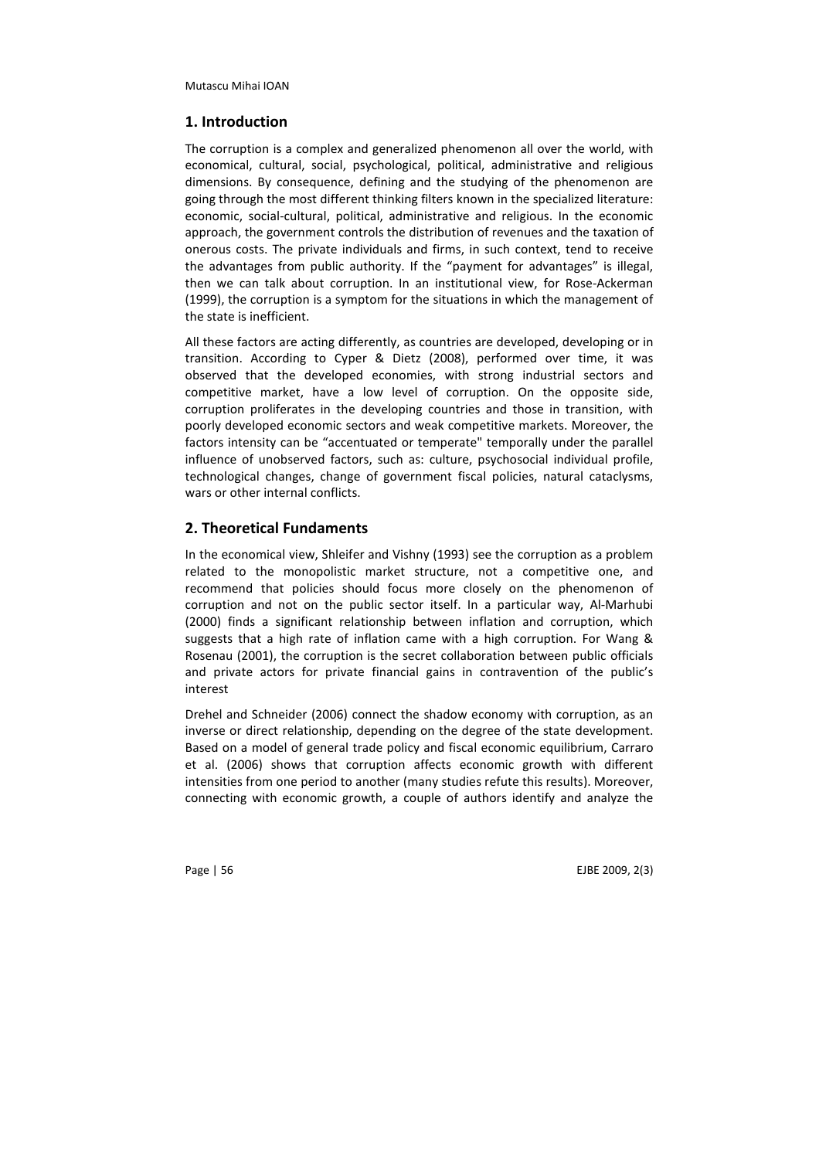## 1. Introduction

The corruption is a complex and generalized phenomenon all over the world, with economical, cultural, social, psychological, political, administrative and religious dimensions. By consequence, defining and the studying of the phenomenon are going through the most different thinking filters known in the specialized literature: economic, social-cultural, political, administrative and religious. In the economic approach, the government controls the distribution of revenues and the taxation of onerous costs. The private individuals and firms, in such context, tend to receive the advantages from public authority. If the "payment for advantages" is illegal, then we can talk about corruption. In an institutional view, for Rose-Ackerman (1999), the corruption is a symptom for the situations in which the management of the state is inefficient.

All these factors are acting differently, as countries are developed, developing or in transition. According to Cyper & Dietz (2008), performed over time, it was observed that the developed economies, with strong industrial sectors and competitive market, have a low level of corruption. On the opposite side, corruption proliferates in the developing countries and those in transition, with poorly developed economic sectors and weak competitive markets. Moreover, the factors intensity can be "accentuated or temperate" temporally under the parallel influence of unobserved factors, such as: culture, psychosocial individual profile, technological changes, change of government fiscal policies, natural cataclysms, wars or other internal conflicts.

# 2. Theoretical Fundaments

In the economical view, Shleifer and Vishny (1993) see the corruption as a problem related to the monopolistic market structure, not a competitive one, and recommend that policies should focus more closely on the phenomenon of corruption and not on the public sector itself. In a particular way, Al-Marhubi (2000) finds a significant relationship between inflation and corruption, which suggests that a high rate of inflation came with a high corruption. For Wang & Rosenau (2001), the corruption is the secret collaboration between public officials and private actors for private financial gains in contravention of the public's interest

Drehel and Schneider (2006) connect the shadow economy with corruption, as an inverse or direct relationship, depending on the degree of the state development. Based on a model of general trade policy and fiscal economic equilibrium, Carraro et al. (2006) shows that corruption affects economic growth with different intensities from one period to another (many studies refute this results). Moreover, connecting with economic growth, a couple of authors identify and analyze the

Page | 56 EJBE 2009, 2(3)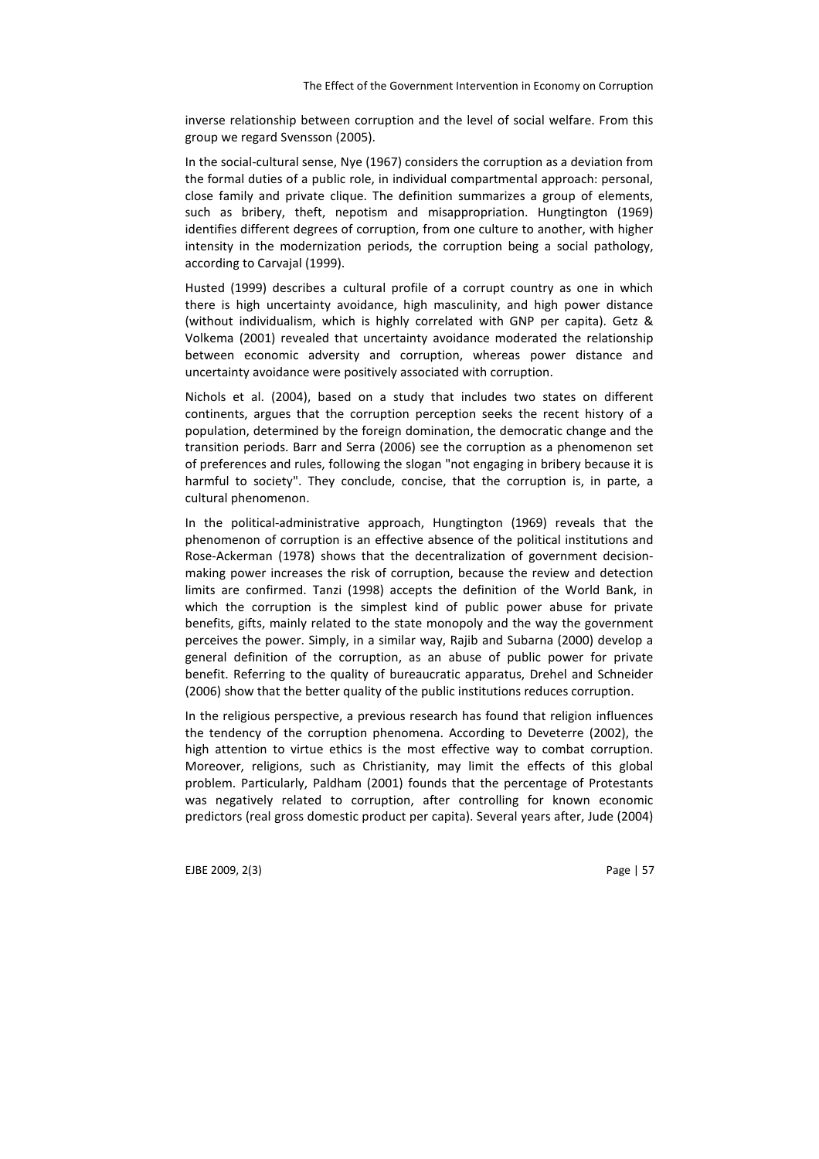inverse relationship between corruption and the level of social welfare. From this group we regard Svensson (2005).

In the social-cultural sense, Nye (1967) considers the corruption as a deviation from the formal duties of a public role, in individual compartmental approach: personal, close family and private clique. The definition summarizes a group of elements, such as bribery, theft, nepotism and misappropriation. Hungtington (1969) identifies different degrees of corruption, from one culture to another, with higher intensity in the modernization periods, the corruption being a social pathology, according to Carvajal (1999).

Husted (1999) describes a cultural profile of a corrupt country as one in which there is high uncertainty avoidance, high masculinity, and high power distance (without individualism, which is highly correlated with GNP per capita). Getz & Volkema (2001) revealed that uncertainty avoidance moderated the relationship between economic adversity and corruption, whereas power distance and uncertainty avoidance were positively associated with corruption.

Nichols et al. (2004), based on a study that includes two states on different continents, argues that the corruption perception seeks the recent history of a population, determined by the foreign domination, the democratic change and the transition periods. Barr and Serra (2006) see the corruption as a phenomenon set of preferences and rules, following the slogan "not engaging in bribery because it is harmful to society". They conclude, concise, that the corruption is, in parte, a cultural phenomenon.

In the political-administrative approach, Hungtington (1969) reveals that the phenomenon of corruption is an effective absence of the political institutions and Rose-Ackerman (1978) shows that the decentralization of government decisionmaking power increases the risk of corruption, because the review and detection limits are confirmed. Tanzi (1998) accepts the definition of the World Bank, in which the corruption is the simplest kind of public power abuse for private benefits, gifts, mainly related to the state monopoly and the way the government perceives the power. Simply, in a similar way, Rajib and Subarna (2000) develop a general definition of the corruption, as an abuse of public power for private benefit. Referring to the quality of bureaucratic apparatus, Drehel and Schneider (2006) show that the better quality of the public institutions reduces corruption.

In the religious perspective, a previous research has found that religion influences the tendency of the corruption phenomena. According to Deveterre (2002), the high attention to virtue ethics is the most effective way to combat corruption. Moreover, religions, such as Christianity, may limit the effects of this global problem. Particularly, Paldham (2001) founds that the percentage of Protestants was negatively related to corruption, after controlling for known economic predictors (real gross domestic product per capita). Several years after, Jude (2004)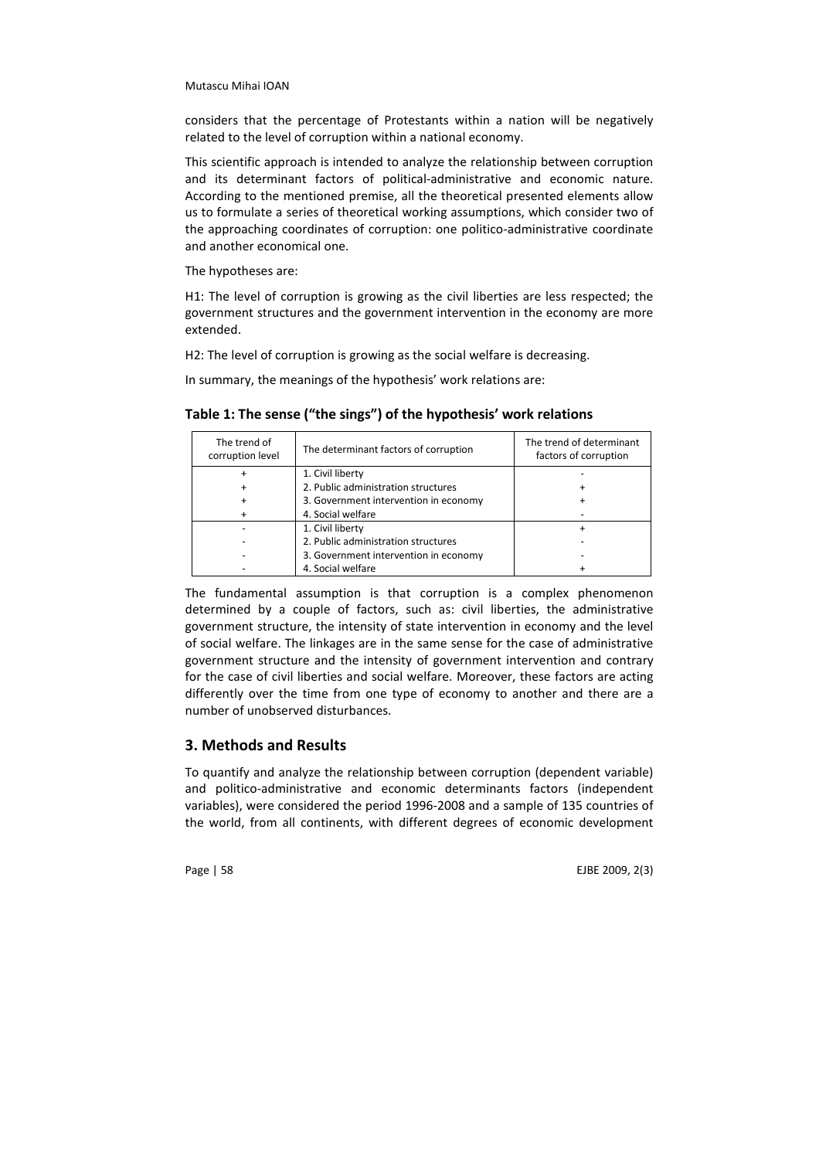considers that the percentage of Protestants within a nation will be negatively related to the level of corruption within a national economy.

This scientific approach is intended to analyze the relationship between corruption and its determinant factors of political-administrative and economic nature. According to the mentioned premise, all the theoretical presented elements allow us to formulate a series of theoretical working assumptions, which consider two of the approaching coordinates of corruption: one politico-administrative coordinate and another economical one.

The hypotheses are:

H1: The level of corruption is growing as the civil liberties are less respected; the government structures and the government intervention in the economy are more extended.

H2: The level of corruption is growing as the social welfare is decreasing.

In summary, the meanings of the hypothesis' work relations are:

| The trend of<br>corruption level | The determinant factors of corruption | The trend of determinant<br>factors of corruption |
|----------------------------------|---------------------------------------|---------------------------------------------------|
|                                  | 1. Civil liberty                      |                                                   |
|                                  | 2. Public administration structures   |                                                   |
|                                  | 3. Government intervention in economy |                                                   |
|                                  | 4. Social welfare                     |                                                   |
|                                  | 1. Civil liberty                      |                                                   |
|                                  | 2. Public administration structures   |                                                   |
|                                  | 3. Government intervention in economy |                                                   |
|                                  | 4. Social welfare                     |                                                   |

Table 1: The sense ("the sings") of the hypothesis' work relations

The fundamental assumption is that corruption is a complex phenomenon determined by a couple of factors, such as: civil liberties, the administrative government structure, the intensity of state intervention in economy and the level of social welfare. The linkages are in the same sense for the case of administrative government structure and the intensity of government intervention and contrary for the case of civil liberties and social welfare. Moreover, these factors are acting differently over the time from one type of economy to another and there are a number of unobserved disturbances.

# 3. Methods and Results

To quantify and analyze the relationship between corruption (dependent variable) and politico-administrative and economic determinants factors (independent variables), were considered the period 1996-2008 and a sample of 135 countries of the world, from all continents, with different degrees of economic development

Page | 58 EJBE 2009, 2(3)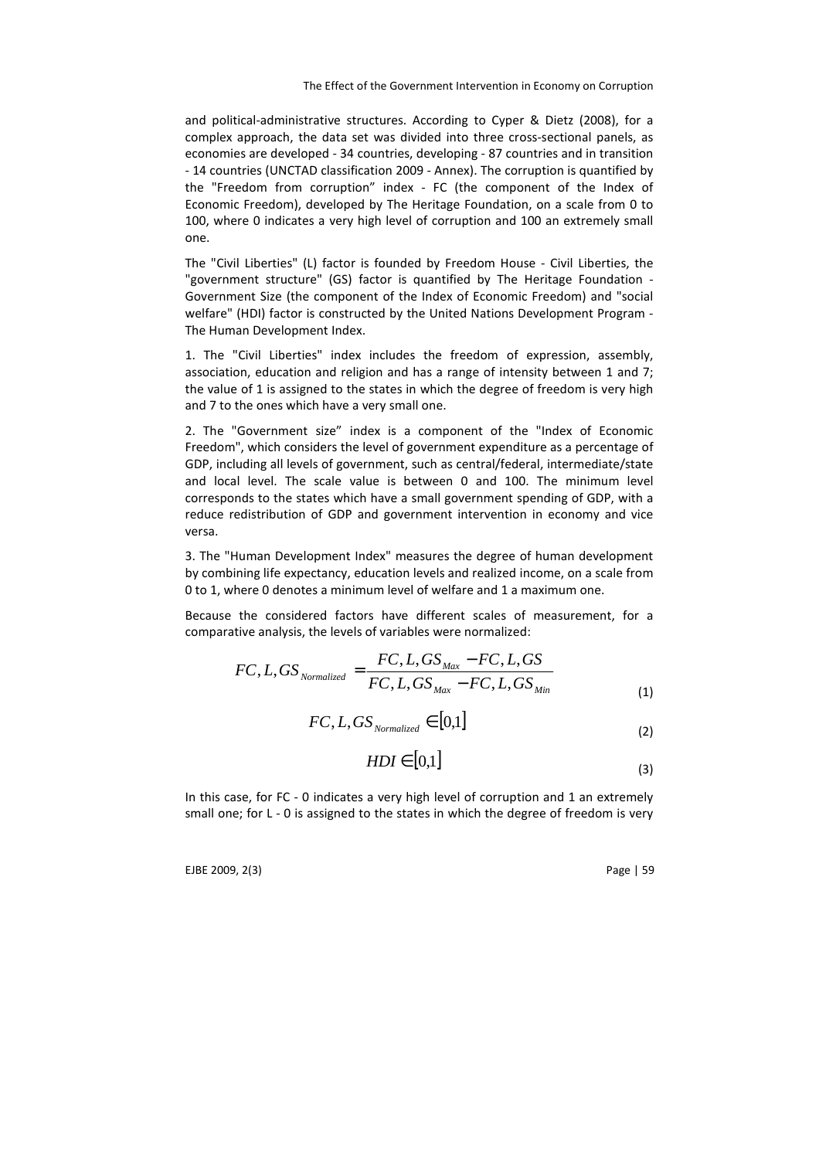and political-administrative structures. According to Cyper & Dietz (2008), for a complex approach, the data set was divided into three cross-sectional panels, as economies are developed - 34 countries, developing - 87 countries and in transition - 14 countries (UNCTAD classification 2009 - Annex). The corruption is quantified by the "Freedom from corruption" index - FC (the component of the Index of Economic Freedom), developed by The Heritage Foundation, on a scale from 0 to 100, where 0 indicates a very high level of corruption and 100 an extremely small one.

The "Civil Liberties" (L) factor is founded by Freedom House - Civil Liberties, the "government structure" (GS) factor is quantified by The Heritage Foundation - Government Size (the component of the Index of Economic Freedom) and "social welfare" (HDI) factor is constructed by the United Nations Development Program - The Human Development Index.

1. The "Civil Liberties" index includes the freedom of expression, assembly, association, education and religion and has a range of intensity between 1 and 7; the value of 1 is assigned to the states in which the degree of freedom is very high and 7 to the ones which have a very small one.

2. The "Government size" index is a component of the "Index of Economic Freedom", which considers the level of government expenditure as a percentage of GDP, including all levels of government, such as central/federal, intermediate/state and local level. The scale value is between 0 and 100. The minimum level corresponds to the states which have a small government spending of GDP, with a reduce redistribution of GDP and government intervention in economy and vice versa.

3. The "Human Development Index" measures the degree of human development by combining life expectancy, education levels and realized income, on a scale from 0 to 1, where 0 denotes a minimum level of welfare and 1 a maximum one.

Because the considered factors have different scales of measurement, for a comparative analysis, the levels of variables were normalized:

$$
FC, L, GS_{Normalized} = \frac{FC, L, GS_{Max} - FC, L, GS}{FC, L, GS_{Max} - FC, L, GS_{Min}}
$$
\n(1)

$$
FC, L, GS_{\text{Normalized}} \in [0,1] \tag{2}
$$

$$
HDI \in [0,1] \tag{3}
$$

In this case, for FC - 0 indicates a very high level of corruption and 1 an extremely small one; for L - 0 is assigned to the states in which the degree of freedom is very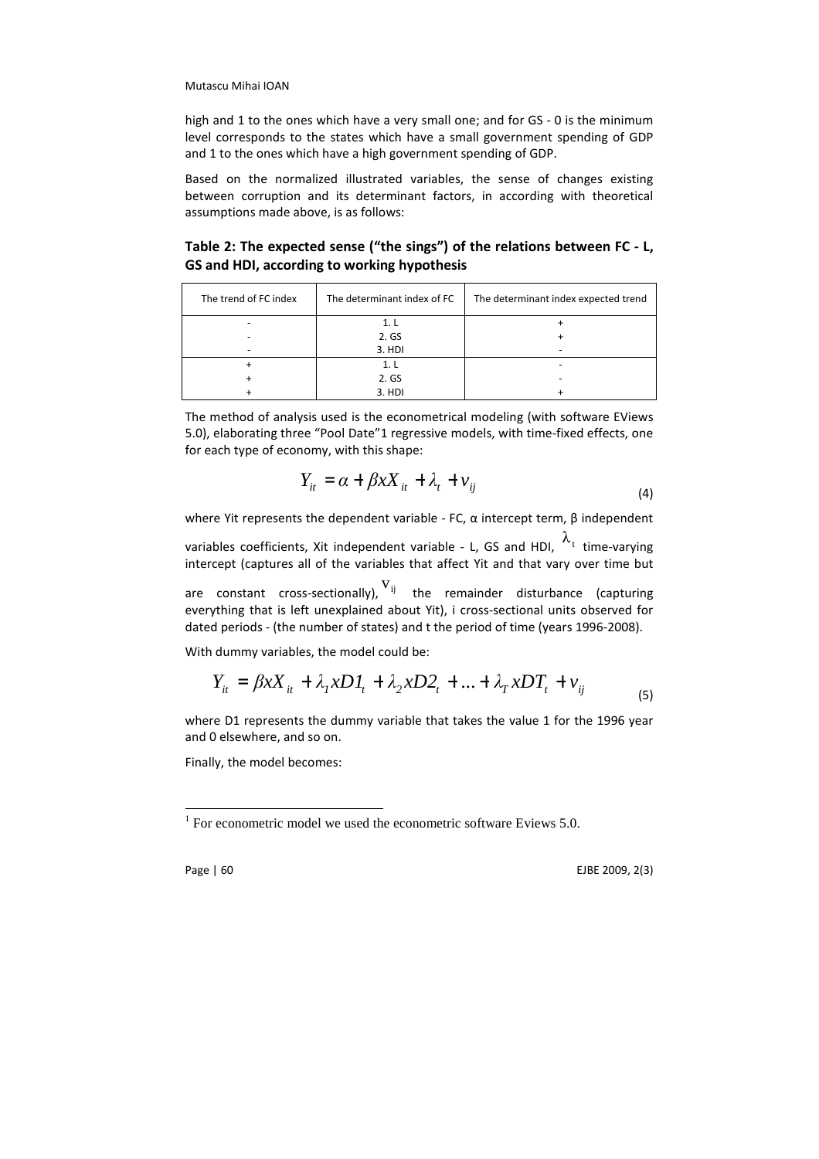high and 1 to the ones which have a very small one; and for GS - 0 is the minimum level corresponds to the states which have a small government spending of GDP and 1 to the ones which have a high government spending of GDP.

Based on the normalized illustrated variables, the sense of changes existing between corruption and its determinant factors, in according with theoretical assumptions made above, is as follows:

Table 2: The expected sense ("the sings") of the relations between FC - L, GS and HDI, according to working hypothesis

| The trend of FC index | The determinant index of FC | The determinant index expected trend |
|-----------------------|-----------------------------|--------------------------------------|
|                       | 1. l                        |                                      |
|                       | 2. GS                       |                                      |
|                       | 3. HDI                      |                                      |
|                       | 1. l                        |                                      |
|                       | 2. GS                       |                                      |
|                       | 3. HDI                      |                                      |

The method of analysis used is the econometrical modeling (with software EViews 5.0), elaborating three "Pool Date"1 regressive models, with time-fixed effects, one for each type of economy, with this shape:

$$
Y_{it} = \alpha + \beta x X_{it} + \lambda_t + v_{ij}
$$
\n<sup>(4)</sup>

where Yit represents the dependent variable - FC, α intercept term, β independent

variables coefficients, Xit independent variable - L, GS and HDI,  $\frac{\lambda_{t}}{\lambda_{t}}$  time-varying intercept (captures all of the variables that affect Yit and that vary over time but

are constant cross-sectionally),  $V_{ij}$  the remainder disturbance (capturing everything that is left unexplained about Yit), i cross-sectional units observed for dated periods - (the number of states) and t the period of time (years 1996-2008).

With dummy variables, the model could be:

$$
Y_{it} = \beta x X_{it} + \lambda_I x D I_t + \lambda_2 x D 2_t + ... + \lambda_T x D T_t + v_{ij}
$$
\n(5)

where D1 represents the dummy variable that takes the value 1 for the 1996 year and 0 elsewhere, and so on.

Finally, the model becomes:

Page | 60 EJBE 2009, 2(3)

 $1$  For econometric model we used the econometric software Eviews 5.0.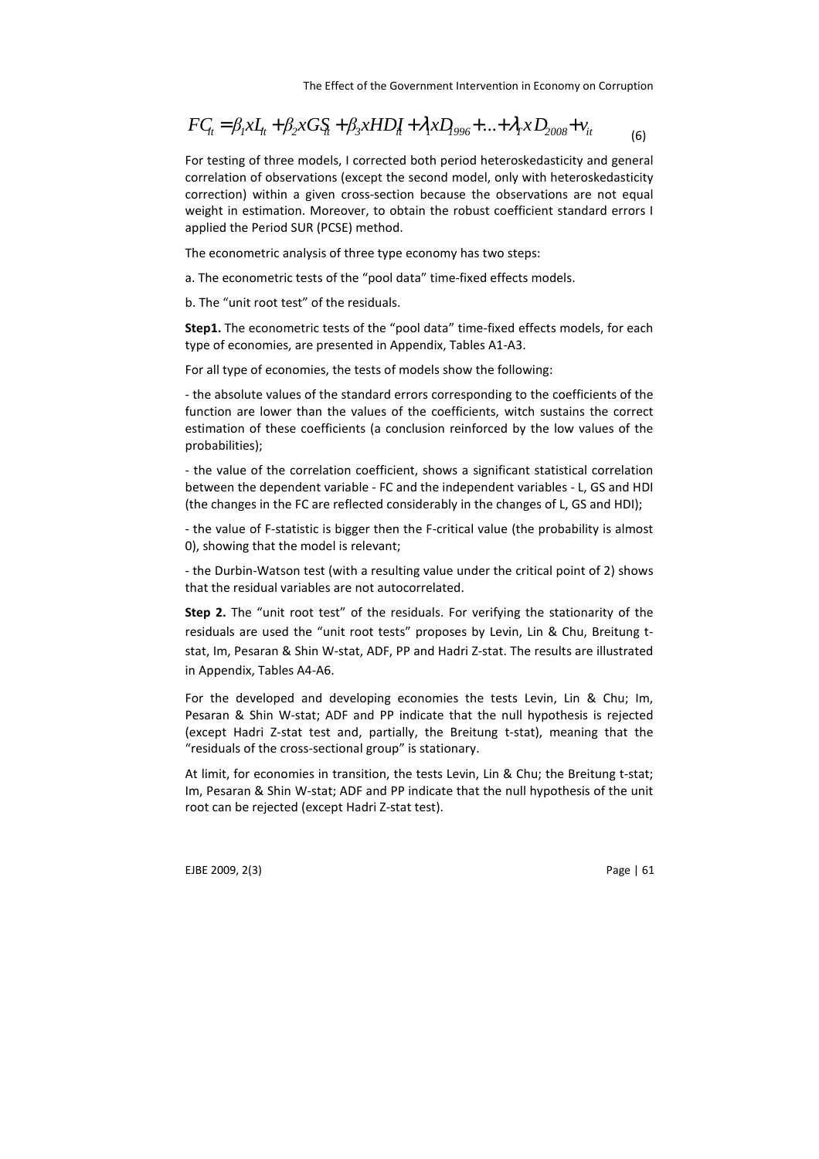$$
FC_{it} = \beta_1 x I_{it} + \beta_2 x G S_{it} + \beta_3 x HD_{it} + \lambda_1 x D_{996} + ... + \lambda_T x D_{2008} + v_{it}
$$
 (6)

For testing of three models, I corrected both period heteroskedasticity and general correlation of observations (except the second model, only with heteroskedasticity correction) within a given cross-section because the observations are not equal weight in estimation. Moreover, to obtain the robust coefficient standard errors I applied the Period SUR (PCSE) method.

The econometric analysis of three type economy has two steps:

a. The econometric tests of the "pool data" time-fixed effects models.

b. The "unit root test" of the residuals.

Step1. The econometric tests of the "pool data" time-fixed effects models, for each type of economies, are presented in Appendix, Tables A1-A3.

For all type of economies, the tests of models show the following:

- the absolute values of the standard errors corresponding to the coefficients of the function are lower than the values of the coefficients, witch sustains the correct estimation of these coefficients (a conclusion reinforced by the low values of the probabilities);

- the value of the correlation coefficient, shows a significant statistical correlation between the dependent variable - FC and the independent variables - L, GS and HDI (the changes in the FC are reflected considerably in the changes of L, GS and HDI);

- the value of F-statistic is bigger then the F-critical value (the probability is almost 0), showing that the model is relevant;

- the Durbin-Watson test (with a resulting value under the critical point of 2) shows that the residual variables are not autocorrelated.

Step 2. The "unit root test" of the residuals. For verifying the stationarity of the residuals are used the "unit root tests" proposes by Levin, Lin & Chu, Breitung tstat, Im, Pesaran & Shin W-stat, ADF, PP and Hadri Z-stat. The results are illustrated in Appendix, Tables A4-A6.

For the developed and developing economies the tests Levin, Lin & Chu; Im, Pesaran & Shin W-stat; ADF and PP indicate that the null hypothesis is rejected (except Hadri Z-stat test and, partially, the Breitung t-stat), meaning that the "residuals of the cross-sectional group" is stationary.

At limit, for economies in transition, the tests Levin, Lin & Chu; the Breitung t-stat; Im, Pesaran & Shin W-stat; ADF and PP indicate that the null hypothesis of the unit root can be rejected (except Hadri Z-stat test).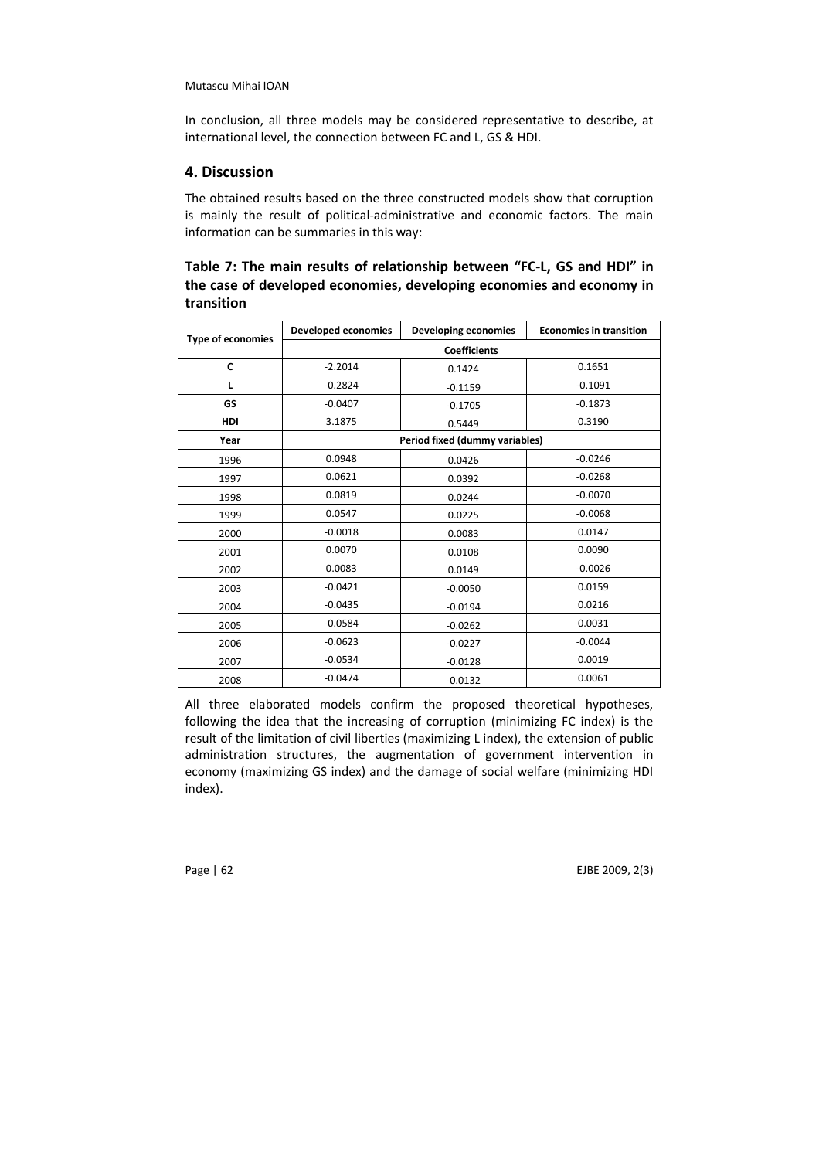In conclusion, all three models may be considered representative to describe, at international level, the connection between FC and L, GS & HDI.

# 4. Discussion

The obtained results based on the three constructed models show that corruption is mainly the result of political-administrative and economic factors. The main information can be summaries in this way:

# Table 7: The main results of relationship between "FC-L, GS and HDI" in the case of developed economies, developing economies and economy in transition

| <b>Type of economies</b> | <b>Developed economies</b> | Developing economies           | <b>Economies in transition</b> |  |  |
|--------------------------|----------------------------|--------------------------------|--------------------------------|--|--|
|                          | <b>Coefficients</b>        |                                |                                |  |  |
| C                        | $-2.2014$                  | 0.1424                         | 0.1651                         |  |  |
| L                        | $-0.2824$                  | $-0.1159$                      | $-0.1091$                      |  |  |
| GS                       | $-0.0407$                  | $-0.1705$                      | $-0.1873$                      |  |  |
| HDI                      | 3.1875                     | 0.5449                         | 0.3190                         |  |  |
| Year                     |                            | Period fixed (dummy variables) |                                |  |  |
| 1996                     | 0.0948                     | 0.0426                         | $-0.0246$                      |  |  |
| 1997                     | 0.0621                     | 0.0392                         | $-0.0268$                      |  |  |
| 1998                     | 0.0819                     | 0.0244                         | $-0.0070$                      |  |  |
| 1999                     | 0.0547                     | 0.0225                         | $-0.0068$                      |  |  |
| 2000                     | $-0.0018$                  | 0.0083                         | 0.0147                         |  |  |
| 2001                     | 0.0070                     | 0.0108                         | 0.0090                         |  |  |
| 2002                     | 0.0083                     | 0.0149                         | $-0.0026$                      |  |  |
| 2003                     | $-0.0421$                  | $-0.0050$                      | 0.0159                         |  |  |
| 2004                     | $-0.0435$                  | $-0.0194$                      | 0.0216                         |  |  |
| 2005                     | $-0.0584$                  | $-0.0262$                      | 0.0031                         |  |  |
| 2006                     | $-0.0623$                  | $-0.0227$                      | $-0.0044$                      |  |  |
| 2007                     | $-0.0534$                  | $-0.0128$                      | 0.0019                         |  |  |
| 2008                     | $-0.0474$                  | $-0.0132$                      | 0.0061                         |  |  |

All three elaborated models confirm the proposed theoretical hypotheses, following the idea that the increasing of corruption (minimizing FC index) is the result of the limitation of civil liberties (maximizing L index), the extension of public administration structures, the augmentation of government intervention in economy (maximizing GS index) and the damage of social welfare (minimizing HDI index).

Page | 62 EJBE 2009, 2(3)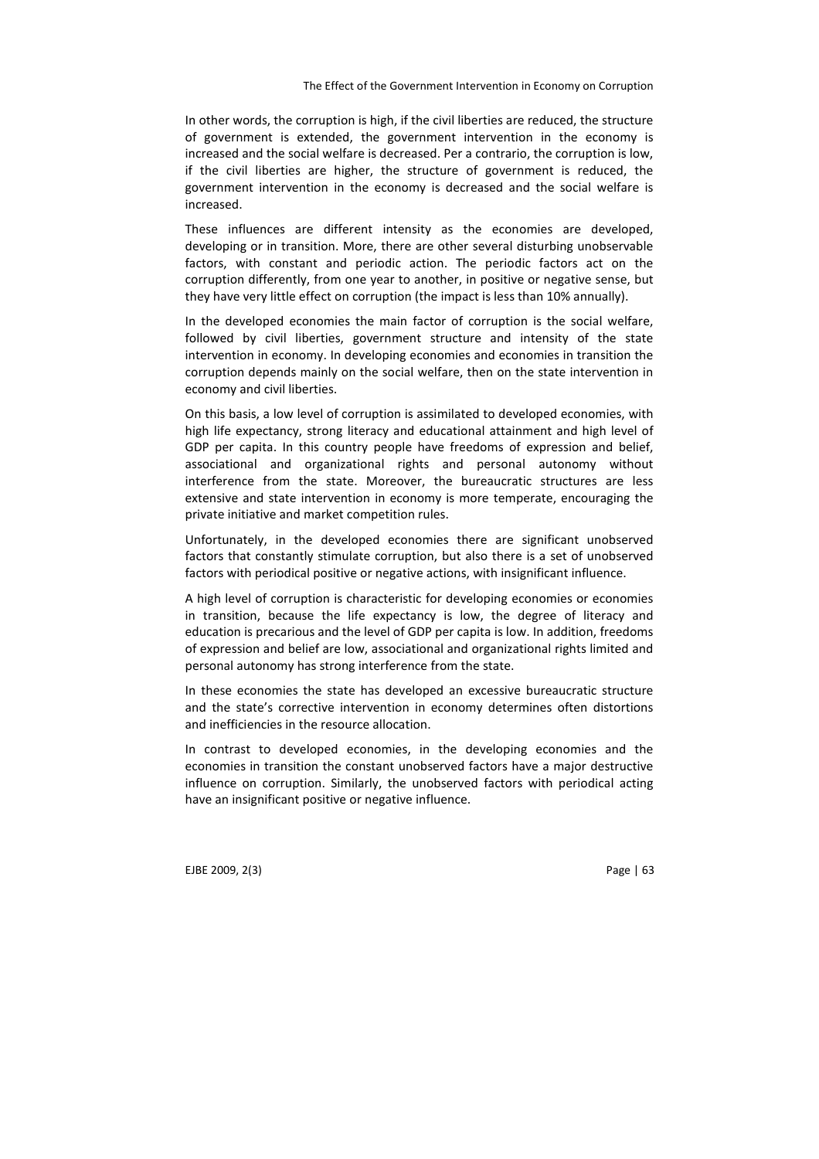In other words, the corruption is high, if the civil liberties are reduced, the structure of government is extended, the government intervention in the economy is increased and the social welfare is decreased. Per a contrario, the corruption is low, if the civil liberties are higher, the structure of government is reduced, the government intervention in the economy is decreased and the social welfare is increased.

These influences are different intensity as the economies are developed, developing or in transition. More, there are other several disturbing unobservable factors, with constant and periodic action. The periodic factors act on the corruption differently, from one year to another, in positive or negative sense, but they have very little effect on corruption (the impact is less than 10% annually).

In the developed economies the main factor of corruption is the social welfare, followed by civil liberties, government structure and intensity of the state intervention in economy. In developing economies and economies in transition the corruption depends mainly on the social welfare, then on the state intervention in economy and civil liberties.

On this basis, a low level of corruption is assimilated to developed economies, with high life expectancy, strong literacy and educational attainment and high level of GDP per capita. In this country people have freedoms of expression and belief, associational and organizational rights and personal autonomy without interference from the state. Moreover, the bureaucratic structures are less extensive and state intervention in economy is more temperate, encouraging the private initiative and market competition rules.

Unfortunately, in the developed economies there are significant unobserved factors that constantly stimulate corruption, but also there is a set of unobserved factors with periodical positive or negative actions, with insignificant influence.

A high level of corruption is characteristic for developing economies or economies in transition, because the life expectancy is low, the degree of literacy and education is precarious and the level of GDP per capita is low. In addition, freedoms of expression and belief are low, associational and organizational rights limited and personal autonomy has strong interference from the state.

In these economies the state has developed an excessive bureaucratic structure and the state's corrective intervention in economy determines often distortions and inefficiencies in the resource allocation.

In contrast to developed economies, in the developing economies and the economies in transition the constant unobserved factors have a major destructive influence on corruption. Similarly, the unobserved factors with periodical acting have an insignificant positive or negative influence.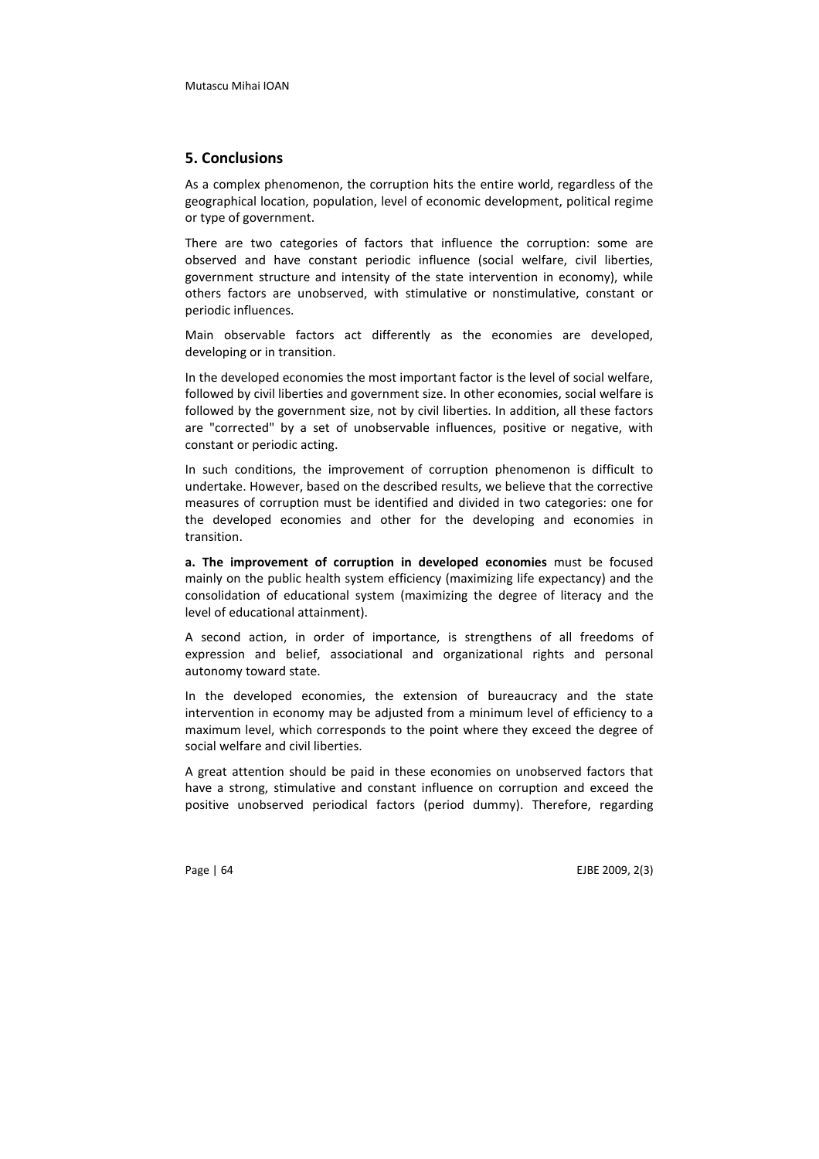#### 5. Conclusions

As a complex phenomenon, the corruption hits the entire world, regardless of the geographical location, population, level of economic development, political regime or type of government.

There are two categories of factors that influence the corruption: some are observed and have constant periodic influence (social welfare, civil liberties, government structure and intensity of the state intervention in economy), while others factors are unobserved, with stimulative or nonstimulative, constant or periodic influences.

Main observable factors act differently as the economies are developed, developing or in transition.

In the developed economies the most important factor is the level of social welfare, followed by civil liberties and government size. In other economies, social welfare is followed by the government size, not by civil liberties. In addition, all these factors are "corrected" by a set of unobservable influences, positive or negative, with constant or periodic acting.

In such conditions, the improvement of corruption phenomenon is difficult to undertake. However, based on the described results, we believe that the corrective measures of corruption must be identified and divided in two categories: one for the developed economies and other for the developing and economies in transition.

a. The improvement of corruption in developed economies must be focused mainly on the public health system efficiency (maximizing life expectancy) and the consolidation of educational system (maximizing the degree of literacy and the level of educational attainment).

A second action, in order of importance, is strengthens of all freedoms of expression and belief, associational and organizational rights and personal autonomy toward state.

In the developed economies, the extension of bureaucracy and the state intervention in economy may be adjusted from a minimum level of efficiency to a maximum level, which corresponds to the point where they exceed the degree of social welfare and civil liberties.

A great attention should be paid in these economies on unobserved factors that have a strong, stimulative and constant influence on corruption and exceed the positive unobserved periodical factors (period dummy). Therefore, regarding

Page | 64 EJBE 2009, 2(3)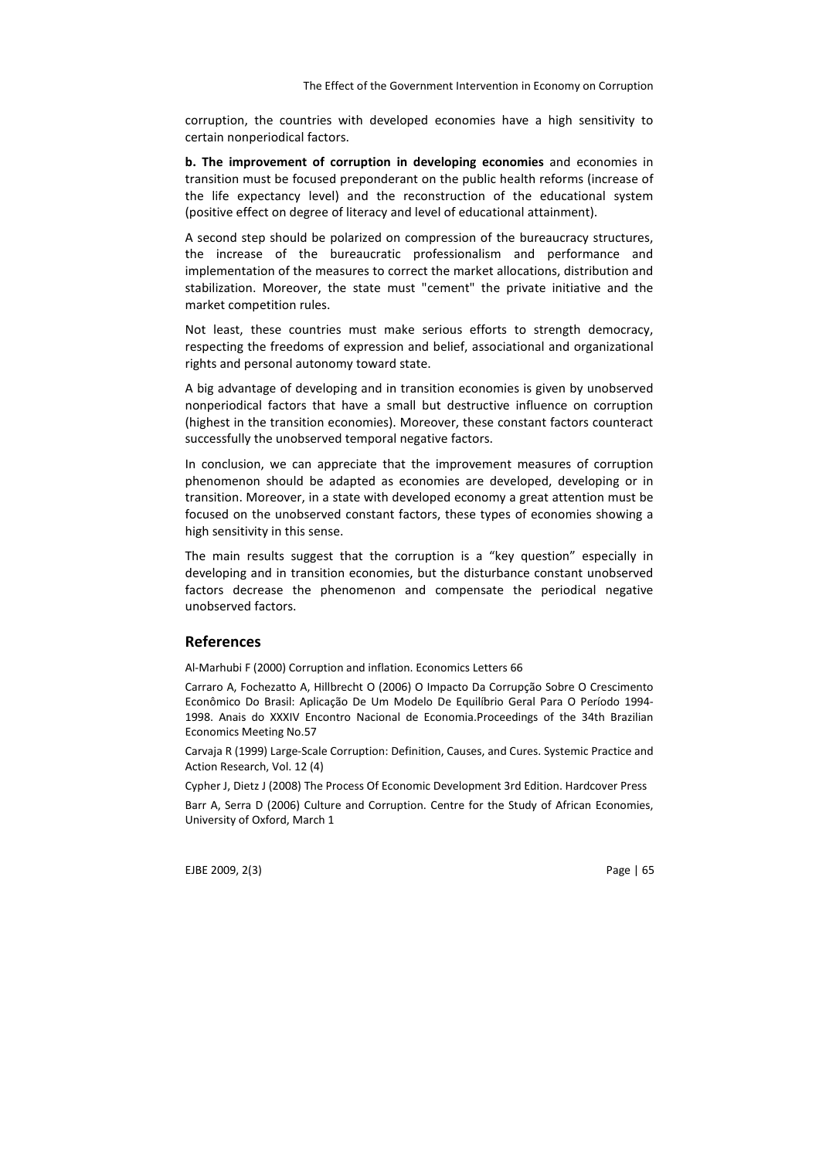corruption, the countries with developed economies have a high sensitivity to certain nonperiodical factors.

b. The improvement of corruption in developing economies and economies in transition must be focused preponderant on the public health reforms (increase of the life expectancy level) and the reconstruction of the educational system (positive effect on degree of literacy and level of educational attainment).

A second step should be polarized on compression of the bureaucracy structures, the increase of the bureaucratic professionalism and performance and implementation of the measures to correct the market allocations, distribution and stabilization. Moreover, the state must "cement" the private initiative and the market competition rules.

Not least, these countries must make serious efforts to strength democracy, respecting the freedoms of expression and belief, associational and organizational rights and personal autonomy toward state.

A big advantage of developing and in transition economies is given by unobserved nonperiodical factors that have a small but destructive influence on corruption (highest in the transition economies). Moreover, these constant factors counteract successfully the unobserved temporal negative factors.

In conclusion, we can appreciate that the improvement measures of corruption phenomenon should be adapted as economies are developed, developing or in transition. Moreover, in a state with developed economy a great attention must be focused on the unobserved constant factors, these types of economies showing a high sensitivity in this sense.

The main results suggest that the corruption is a "key question" especially in developing and in transition economies, but the disturbance constant unobserved factors decrease the phenomenon and compensate the periodical negative unobserved factors.

#### References

Al-Marhubi F (2000) Corruption and inflation. Economics Letters 66

Carraro A, Fochezatto A, Hillbrecht O (2006) O Impacto Da Corrupção Sobre O Crescimento Econômico Do Brasil: Aplicação De Um Modelo De Equilíbrio Geral Para O Período 1994- 1998. Anais do XXXIV Encontro Nacional de Economia.Proceedings of the 34th Brazilian Economics Meeting No.57

Carvaja R (1999) Large-Scale Corruption: Definition, Causes, and Cures. Systemic Practice and Action Research, Vol. 12 (4)

Cypher J, Dietz J (2008) The Process Of Economic Development 3rd Edition. Hardcover Press

Barr A, Serra D (2006) Culture and Corruption. Centre for the Study of African Economies, University of Oxford, March 1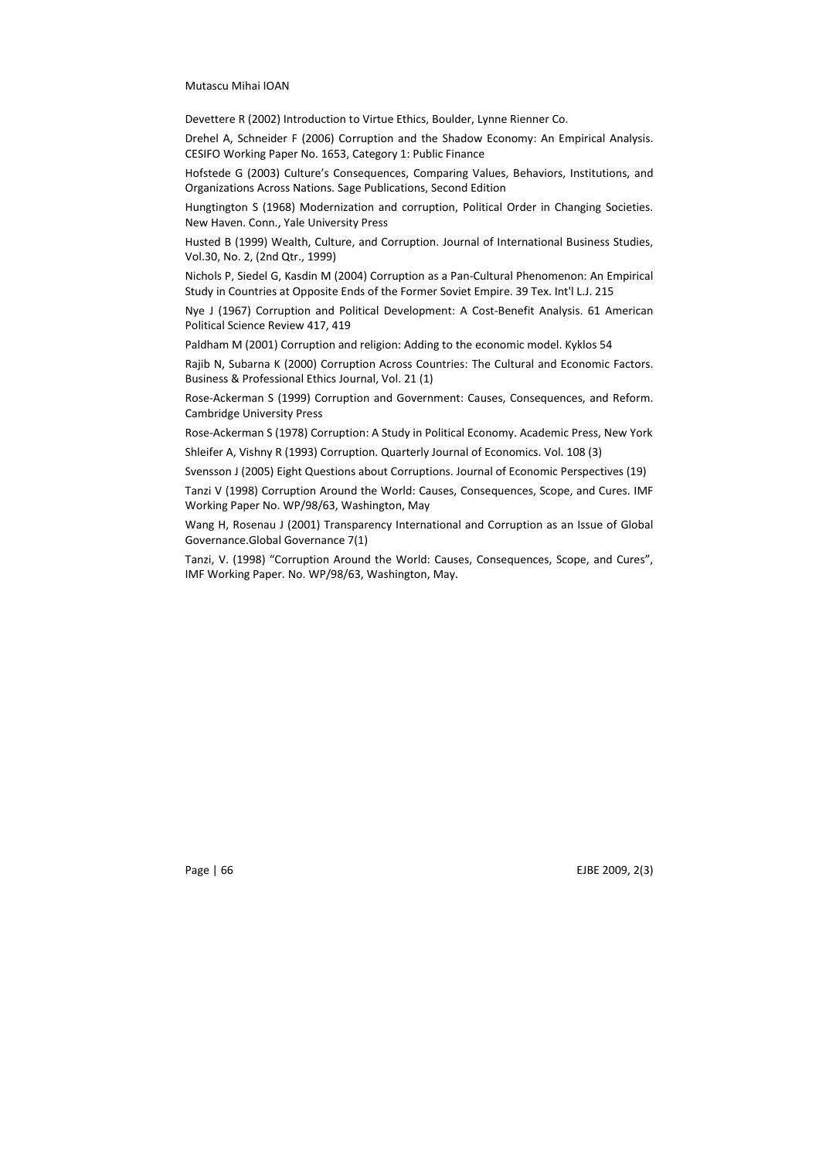Devettere R (2002) Introduction to Virtue Ethics, Boulder, Lynne Rienner Co.

Drehel A, Schneider F (2006) Corruption and the Shadow Economy: An Empirical Analysis. CESIFO Working Paper No. 1653, Category 1: Public Finance

Hofstede G (2003) Culture's Consequences, Comparing Values, Behaviors, Institutions, and Organizations Across Nations. Sage Publications, Second Edition

Hungtington S (1968) Modernization and corruption, Political Order in Changing Societies. New Haven. Conn., Yale University Press

Husted B (1999) Wealth, Culture, and Corruption. Journal of International Business Studies, Vol.30, No. 2, (2nd Qtr., 1999)

Nichols P, Siedel G, Kasdin M (2004) Corruption as a Pan-Cultural Phenomenon: An Empirical Study in Countries at Opposite Ends of the Former Soviet Empire. 39 Tex. Int'l L.J. 215

Nye J (1967) Corruption and Political Development: A Cost-Benefit Analysis. 61 American Political Science Review 417, 419

Paldham M (2001) Corruption and religion: Adding to the economic model. Kyklos 54

Rajib N, Subarna K (2000) Corruption Across Countries: The Cultural and Economic Factors. Business & Professional Ethics Journal, Vol. 21 (1)

Rose-Ackerman S (1999) Corruption and Government: Causes, Consequences, and Reform. Cambridge University Press

Rose-Ackerman S (1978) Corruption: A Study in Political Economy. Academic Press, New York Shleifer A, Vishny R (1993) Corruption. Quarterly Journal of Economics. Vol. 108 (3)

Svensson J (2005) Eight Questions about Corruptions. Journal of Economic Perspectives (19)

Tanzi V (1998) Corruption Around the World: Causes, Consequences, Scope, and Cures. IMF Working Paper No. WP/98/63, Washington, May

Wang H, Rosenau J (2001) Transparency International and Corruption as an Issue of Global Governance.Global Governance 7(1)

Tanzi, V. (1998) "Corruption Around the World: Causes, Consequences, Scope, and Cures", IMF Working Paper. No. WP/98/63, Washington, May.

Page | 66 EJBE 2009, 2(3)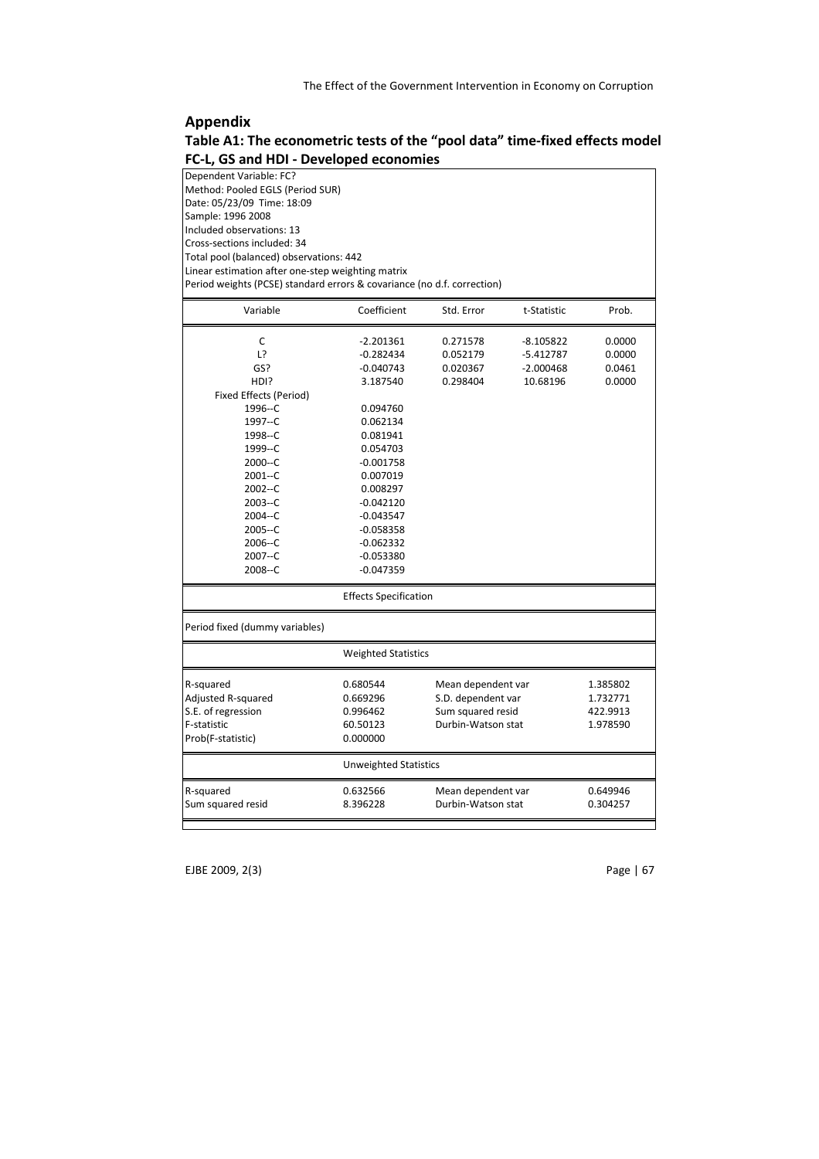# Appendix

| Table A1: The econometric tests of the "pool data" time-fixed effects model |  |  |
|-----------------------------------------------------------------------------|--|--|
| FC-L, GS and HDI - Developed economies                                      |  |  |

| Dependent Variable: FC?                                                 |  |
|-------------------------------------------------------------------------|--|
| Method: Pooled EGLS (Period SUR)                                        |  |
| Date: 05/23/09 Time: 18:09                                              |  |
| Sample: 1996 2008                                                       |  |
| Included observations: 13                                               |  |
| Cross-sections included: 34                                             |  |
| Total pool (balanced) observations: 442                                 |  |
| Linear estimation after one-step weighting matrix                       |  |
| Period weights (PCSE) standard errors & covariance (no d.f. correction) |  |
|                                                                         |  |

| Variable                       | Coefficient                  | Std. Error         | t-Statistic | Prob.    |
|--------------------------------|------------------------------|--------------------|-------------|----------|
| C                              | $-2.201361$                  | 0.271578           | $-8.105822$ | 0.0000   |
| L?                             | $-0.282434$                  | 0.052179           | $-5.412787$ | 0.0000   |
| GS?                            | $-0.040743$                  | 0.020367           | $-2.000468$ | 0.0461   |
| HDI?                           | 3.187540                     | 0.298404           | 10.68196    | 0.0000   |
| Fixed Effects (Period)         |                              |                    |             |          |
| 1996--C                        | 0.094760                     |                    |             |          |
| 1997--C                        | 0.062134                     |                    |             |          |
| 1998--C                        | 0.081941                     |                    |             |          |
| 1999--C                        | 0.054703                     |                    |             |          |
| $2000 - C$                     | $-0.001758$                  |                    |             |          |
| $2001 - C$                     | 0.007019                     |                    |             |          |
| $2002 - C$                     | 0.008297                     |                    |             |          |
| 2003--C                        | $-0.042120$                  |                    |             |          |
| 2004--C                        | $-0.043547$                  |                    |             |          |
| $2005 - C$                     | $-0.058358$                  |                    |             |          |
| 2006--C                        | $-0.062332$                  |                    |             |          |
| 2007--C                        | $-0.053380$                  |                    |             |          |
| 2008--C                        | $-0.047359$                  |                    |             |          |
|                                | <b>Effects Specification</b> |                    |             |          |
| Period fixed (dummy variables) |                              |                    |             |          |
|                                | <b>Weighted Statistics</b>   |                    |             |          |
| R-squared                      | 0.680544                     | Mean dependent var |             | 1.385802 |
| Adjusted R-squared             | 0.669296                     | S.D. dependent var |             | 1.732771 |
| S.E. of regression             | 0.996462                     | Sum squared resid  |             | 422.9913 |
| F-statistic                    | 60.50123                     | Durbin-Watson stat |             | 1.978590 |
| Prob(F-statistic)              | 0.000000                     |                    |             |          |
|                                | <b>Unweighted Statistics</b> |                    |             |          |
| R-squared                      | 0.632566                     | Mean dependent var |             | 0.649946 |
| Sum squared resid              | 8.396228                     | Durbin-Watson stat |             | 0.304257 |
|                                |                              |                    |             |          |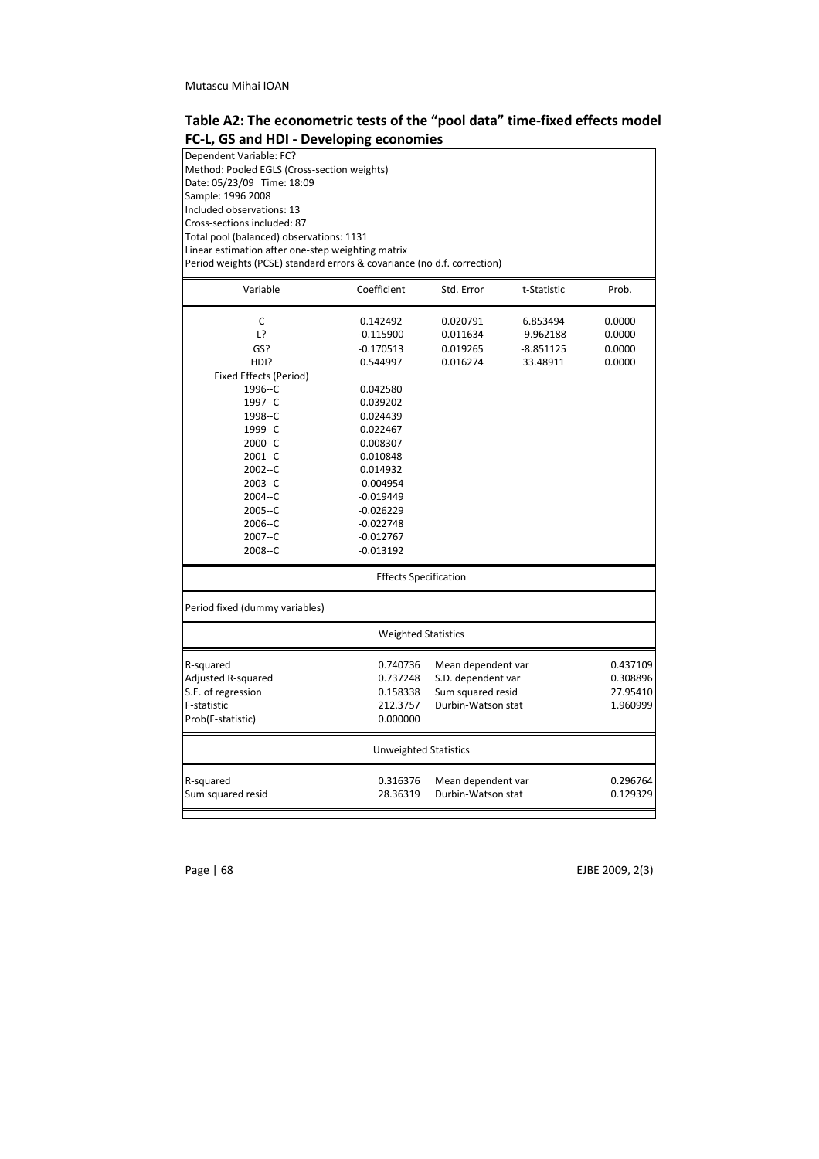| Table A2: The econometric tests of the "pool data" time-fixed effects model |
|-----------------------------------------------------------------------------|
| FC-L, GS and HDI - Developing economies                                     |

| Dependent Variable: FC?                                                 |                              |                                          |             |          |  |  |  |
|-------------------------------------------------------------------------|------------------------------|------------------------------------------|-------------|----------|--|--|--|
| Method: Pooled EGLS (Cross-section weights)                             |                              |                                          |             |          |  |  |  |
| Date: 05/23/09 Time: 18:09                                              |                              |                                          |             |          |  |  |  |
| Sample: 1996 2008                                                       |                              |                                          |             |          |  |  |  |
| Included observations: 13                                               |                              |                                          |             |          |  |  |  |
| Cross-sections included: 87                                             |                              |                                          |             |          |  |  |  |
| Total pool (balanced) observations: 1131                                |                              |                                          |             |          |  |  |  |
| Linear estimation after one-step weighting matrix                       |                              |                                          |             |          |  |  |  |
| Period weights (PCSE) standard errors & covariance (no d.f. correction) |                              |                                          |             |          |  |  |  |
| Variable                                                                | Coefficient                  | Std. Error                               | t-Statistic | Prob.    |  |  |  |
|                                                                         |                              |                                          |             |          |  |  |  |
| С                                                                       | 0.142492                     | 0.020791                                 | 6.853494    | 0.0000   |  |  |  |
| L?                                                                      | $-0.115900$                  | 0.011634                                 | $-9.962188$ | 0.0000   |  |  |  |
| GS?                                                                     | $-0.170513$                  | 0.019265                                 | $-8.851125$ | 0.0000   |  |  |  |
| HDI?                                                                    | 0.544997                     | 0.016274                                 | 33.48911    | 0.0000   |  |  |  |
| Fixed Effects (Period)                                                  |                              |                                          |             |          |  |  |  |
| 1996--C                                                                 | 0.042580                     |                                          |             |          |  |  |  |
| 1997--C                                                                 | 0.039202                     |                                          |             |          |  |  |  |
| 1998--C                                                                 | 0.024439                     |                                          |             |          |  |  |  |
| 1999--C                                                                 | 0.022467                     |                                          |             |          |  |  |  |
| 2000--C                                                                 | 0.008307                     |                                          |             |          |  |  |  |
| $2001 - C$                                                              | 0.010848                     |                                          |             |          |  |  |  |
| 2002--C                                                                 | 0.014932                     |                                          |             |          |  |  |  |
| 2003--C                                                                 | $-0.004954$                  |                                          |             |          |  |  |  |
| 2004--C                                                                 | $-0.019449$                  |                                          |             |          |  |  |  |
| 2005--C                                                                 | $-0.026229$                  |                                          |             |          |  |  |  |
| 2006--C                                                                 | $-0.022748$                  |                                          |             |          |  |  |  |
| 2007--C                                                                 | $-0.012767$                  |                                          |             |          |  |  |  |
| 2008--C                                                                 | $-0.013192$                  |                                          |             |          |  |  |  |
| <b>Effects Specification</b>                                            |                              |                                          |             |          |  |  |  |
| Period fixed (dummy variables)                                          |                              |                                          |             |          |  |  |  |
|                                                                         | <b>Weighted Statistics</b>   |                                          |             |          |  |  |  |
| R-squared                                                               | 0.740736                     | Mean dependent var                       |             | 0.437109 |  |  |  |
| Adjusted R-squared                                                      | 0.737248                     | S.D. dependent var                       |             | 0.308896 |  |  |  |
| S.E. of regression                                                      | 0.158338                     | Sum squared resid                        |             | 27.95410 |  |  |  |
| F-statistic                                                             | 212.3757                     | Durbin-Watson stat                       |             | 1.960999 |  |  |  |
| Prob(F-statistic)                                                       | 0.000000                     |                                          |             |          |  |  |  |
|                                                                         | <b>Unweighted Statistics</b> |                                          |             |          |  |  |  |
|                                                                         | 0.316376                     |                                          |             | 0.296764 |  |  |  |
| R-squared<br>Sum squared resid                                          | 28.36319                     | Mean dependent var<br>Durbin-Watson stat |             | 0.129329 |  |  |  |
|                                                                         |                              |                                          |             |          |  |  |  |

Page | 68 EJBE 2009, 2(3)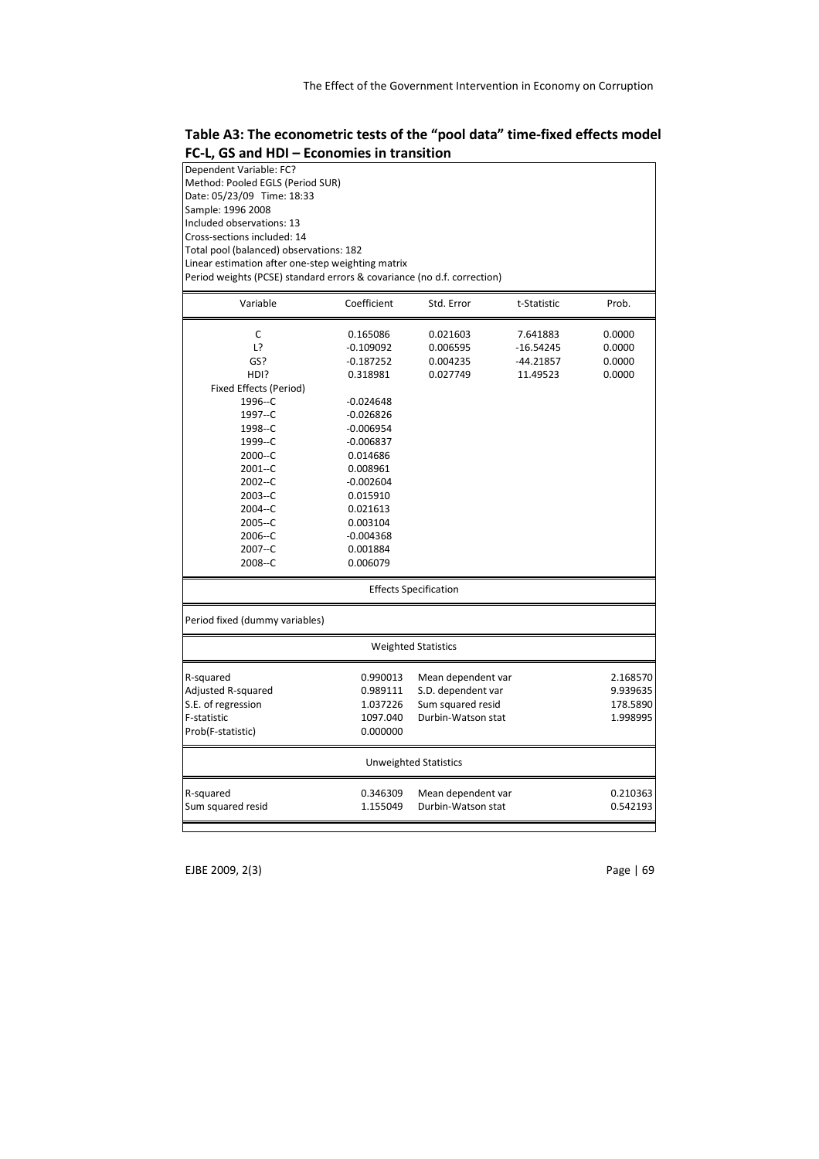Table A3: The econometric tests of the "pool data" time-fixed effects model FC-L, GS and HDI – Economies in transition

| Dependent Variable: FC?                                                 |                                  |                                          |             |                      |  |  |
|-------------------------------------------------------------------------|----------------------------------|------------------------------------------|-------------|----------------------|--|--|
|                                                                         | Method: Pooled EGLS (Period SUR) |                                          |             |                      |  |  |
| Date: 05/23/09 Time: 18:33                                              |                                  |                                          |             |                      |  |  |
| Sample: 1996 2008                                                       |                                  |                                          |             |                      |  |  |
| Included observations: 13                                               |                                  |                                          |             |                      |  |  |
| Cross-sections included: 14                                             |                                  |                                          |             |                      |  |  |
| Total pool (balanced) observations: 182                                 |                                  |                                          |             |                      |  |  |
| Linear estimation after one-step weighting matrix                       |                                  |                                          |             |                      |  |  |
| Period weights (PCSE) standard errors & covariance (no d.f. correction) |                                  |                                          |             |                      |  |  |
| Variable                                                                | Coefficient                      | Std. Error                               | t-Statistic | Prob.                |  |  |
|                                                                         |                                  |                                          |             |                      |  |  |
| С                                                                       | 0.165086                         | 0.021603                                 | 7.641883    | 0.0000               |  |  |
| L?                                                                      | $-0.109092$                      | 0.006595                                 | $-16.54245$ | 0.0000               |  |  |
| GS?                                                                     | $-0.187252$                      | 0.004235                                 | $-44.21857$ | 0.0000               |  |  |
| HDI?                                                                    | 0.318981                         | 0.027749                                 | 11.49523    | 0.0000               |  |  |
| Fixed Effects (Period)                                                  |                                  |                                          |             |                      |  |  |
| 1996--C                                                                 | $-0.024648$                      |                                          |             |                      |  |  |
| 1997--C                                                                 | $-0.026826$                      |                                          |             |                      |  |  |
| 1998--C                                                                 | $-0.006954$                      |                                          |             |                      |  |  |
| 1999--C                                                                 | $-0.006837$                      |                                          |             |                      |  |  |
| $2000 - C$                                                              | 0.014686                         |                                          |             |                      |  |  |
| $2001 - C$                                                              | 0.008961                         |                                          |             |                      |  |  |
| $2002 - C$                                                              | $-0.002604$                      |                                          |             |                      |  |  |
| $2003 - C$                                                              | 0.015910                         |                                          |             |                      |  |  |
| $2004 - C$                                                              | 0.021613                         |                                          |             |                      |  |  |
| $2005 - C$                                                              | 0.003104                         |                                          |             |                      |  |  |
| $2006 - C$                                                              | $-0.004368$                      |                                          |             |                      |  |  |
| $2007 - C$                                                              | 0.001884                         |                                          |             |                      |  |  |
| 2008--C                                                                 | 0.006079                         |                                          |             |                      |  |  |
|                                                                         |                                  | <b>Effects Specification</b>             |             |                      |  |  |
| Period fixed (dummy variables)                                          |                                  |                                          |             |                      |  |  |
|                                                                         |                                  | <b>Weighted Statistics</b>               |             |                      |  |  |
|                                                                         |                                  |                                          |             |                      |  |  |
| R-squared                                                               | 0.990013                         | Mean dependent var<br>S.D. dependent var |             | 2.168570             |  |  |
| Adjusted R-squared<br>S.E. of regression                                | 0.989111<br>1.037226             | Sum squared resid                        |             | 9.939635<br>178.5890 |  |  |
| F-statistic                                                             | 1097.040                         | Durbin-Watson stat                       |             | 1.998995             |  |  |
| Prob(F-statistic)                                                       | 0.000000                         |                                          |             |                      |  |  |
|                                                                         |                                  |                                          |             |                      |  |  |
|                                                                         |                                  | <b>Unweighted Statistics</b>             |             |                      |  |  |
| R-squared                                                               | 0.346309                         | Mean dependent var                       |             | 0.210363             |  |  |
| Sum squared resid                                                       | 1.155049                         | Durbin-Watson stat                       |             | 0.542193             |  |  |
|                                                                         |                                  |                                          |             |                      |  |  |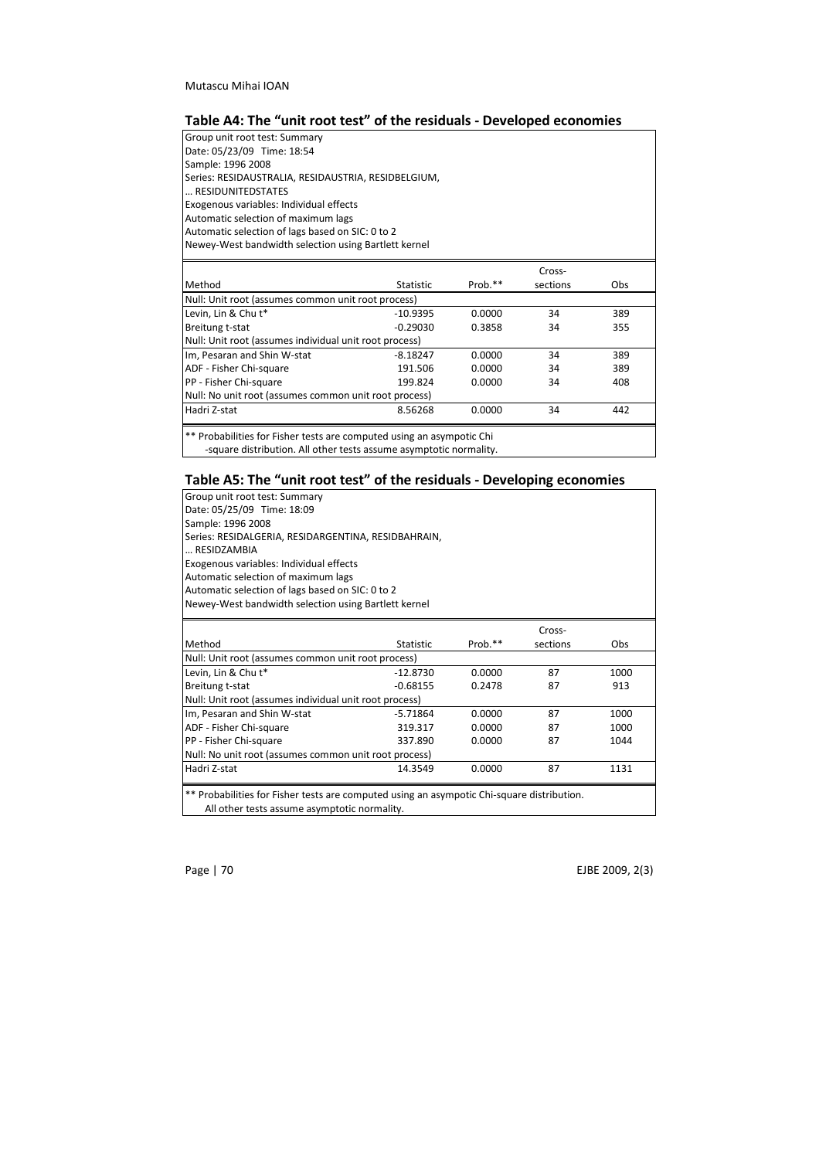# Table A4: The "unit root test" of the residuals - Developed economies

| Group unit root test: Summary                                                                                                               |                  |         |          |     |
|---------------------------------------------------------------------------------------------------------------------------------------------|------------------|---------|----------|-----|
| Date: 05/23/09 Time: 18:54                                                                                                                  |                  |         |          |     |
| Sample: 1996 2008                                                                                                                           |                  |         |          |     |
| Series: RESIDAUSTRALIA, RESIDAUSTRIA, RESIDBELGIUM,                                                                                         |                  |         |          |     |
| RESIDUNITEDSTATES                                                                                                                           |                  |         |          |     |
| Exogenous variables: Individual effects                                                                                                     |                  |         |          |     |
| Automatic selection of maximum lags                                                                                                         |                  |         |          |     |
| Automatic selection of lags based on SIC: 0 to 2                                                                                            |                  |         |          |     |
| Newey-West bandwidth selection using Bartlett kernel                                                                                        |                  |         |          |     |
|                                                                                                                                             |                  |         | Cross-   |     |
| Method                                                                                                                                      | <b>Statistic</b> | Prob.** | sections | Obs |
| Null: Unit root (assumes common unit root process)                                                                                          |                  |         |          |     |
| Levin, Lin & Chu t*                                                                                                                         | $-10.9395$       | 0.0000  | 34       | 389 |
| Breitung t-stat                                                                                                                             | $-0.29030$       | 0.3858  | 34       | 355 |
| Null: Unit root (assumes individual unit root process)                                                                                      |                  |         |          |     |
| Im, Pesaran and Shin W-stat                                                                                                                 | $-8.18247$       | 0.0000  | 34       | 389 |
| ADF - Fisher Chi-square                                                                                                                     | 191.506          | 0.0000  | 34       | 389 |
| PP - Fisher Chi-square                                                                                                                      | 199.824          | 0.0000  | 34       | 408 |
| Null: No unit root (assumes common unit root process)                                                                                       |                  |         |          |     |
| Hadri Z-stat                                                                                                                                | 8.56268          | 0.0000  | 34       | 442 |
| ** Probabilities for Fisher tests are computed using an asympotic Chi<br>-square distribution. All other tests assume asymptotic normality. |                  |         |          |     |

# Table A5: The "unit root test" of the residuals - Developing economies

| Group unit root test: Summary                                                              |                  |         |          |            |  |  |
|--------------------------------------------------------------------------------------------|------------------|---------|----------|------------|--|--|
| Date: 05/25/09 Time: 18:09                                                                 |                  |         |          |            |  |  |
| Sample: 1996 2008                                                                          |                  |         |          |            |  |  |
| Series: RESIDALGERIA, RESIDARGENTINA, RESIDBAHRAIN,                                        |                  |         |          |            |  |  |
| RESIDZAMBIA                                                                                |                  |         |          |            |  |  |
| Exogenous variables: Individual effects                                                    |                  |         |          |            |  |  |
| Automatic selection of maximum lags                                                        |                  |         |          |            |  |  |
| Automatic selection of lags based on SIC: 0 to 2                                           |                  |         |          |            |  |  |
| Newey-West bandwidth selection using Bartlett kernel                                       |                  |         |          |            |  |  |
|                                                                                            |                  |         | Cross-   |            |  |  |
| Method                                                                                     | <b>Statistic</b> | Prob.** | sections | <b>Obs</b> |  |  |
| Null: Unit root (assumes common unit root process)                                         |                  |         |          |            |  |  |
| Levin, Lin & Chu t*                                                                        | $-12.8730$       | 0.0000  | 87       | 1000       |  |  |
| Breitung t-stat                                                                            | $-0.68155$       | 0.2478  | 87       | 913        |  |  |
| Null: Unit root (assumes individual unit root process)                                     |                  |         |          |            |  |  |
| Im, Pesaran and Shin W-stat                                                                | $-5.71864$       | 0.0000  | 87       | 1000       |  |  |
| ADF - Fisher Chi-square                                                                    | 319.317          | 0.0000  | 87       | 1000       |  |  |
| PP - Fisher Chi-square                                                                     | 337.890          | 0.0000  | 87       | 1044       |  |  |
| Null: No unit root (assumes common unit root process)                                      |                  |         |          |            |  |  |
| Hadri Z-stat                                                                               | 14.3549          | 0.0000  | 87       | 1131       |  |  |
| ** Probabilities for Fisher tests are computed using an asympotic Chi-square distribution. |                  |         |          |            |  |  |
| All other tests assume asymptotic normality.                                               |                  |         |          |            |  |  |

Page | 70 EJBE 2009, 2(3)